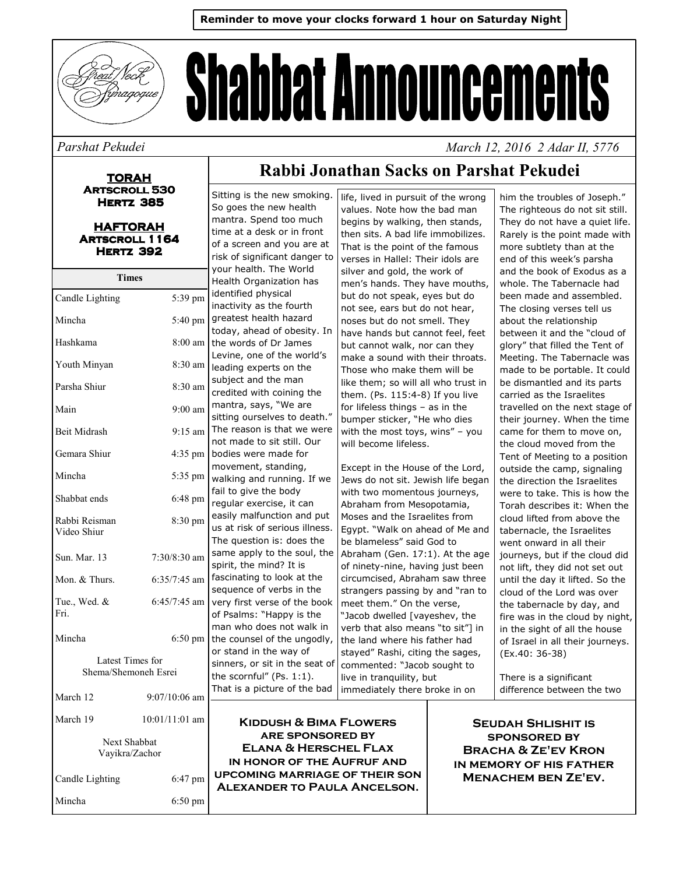

# **Shabbat Announcements**

#### Parshat Pekudei

**TORAH ARTSCROLL 530 HERTZ 385** 

| <b>HAFTORAH</b>       |
|-----------------------|
| <b>ARTSCROLL 1164</b> |
| <b>HERTZ 392</b>      |
|                       |

| Times                                    |                 |                      |
|------------------------------------------|-----------------|----------------------|
| Candle Lighting                          | 5:39 pm         | j,<br>i              |
| Mincha                                   | 5:40 pm         | ç<br>t               |
| Hashkama                                 | $8:00$ am       | t                    |
| Youth Minyan                             | 8:30 am         | L<br>ŀ               |
| Parsha Shiur                             | 8:30 am         | S<br>C               |
| Main                                     | $9:00$ am       | ľ<br>S               |
| Beit Midrash                             | $9:15$ am       | J<br>r               |
| Gemara Shiur                             | 4:35 pm         | ł                    |
| Mincha                                   | 5:35 pm         | r<br>V               |
| Shabbat ends                             | 6:48 pm         | f<br>r               |
| Rabbi Reisman<br>Video Shiur             | 8:30 pm         | $\epsilon$<br>ι<br>٦ |
| Sun. Mar. 13                             | 7:30/8:30 am    | S<br>S               |
| Mon. & Thurs.                            | $6:35/7:45$ am  | f<br>Ś               |
| Tue., Wed. &<br>Fri.                     | 6:45/7:45 am    | V<br>$\mathsf{C}$    |
| Mincha                                   | 6:50 pm         | ľ<br>t               |
| Latest Times for<br>Shema/Shemoneh Esrei |                 |                      |
| March 12                                 | $9:07/10:06$ am | ٦                    |
| March 19                                 | 10:01/11:01 am  |                      |
| Next Shabbat<br>Vayikra/Zachor           |                 |                      |
| Candle Lighting                          | 6:47 pm         |                      |

6:50 pm

Mincha

## Rabbi Jonathan Sacks on Parshat Pekudei

Sitting is the new smoking. So goes the new health mantra. Spend too much time at a desk or in front of a screen and you are at risk of significant danger to your health. The World Health Organization has dentified physical inactivity as the fourth greatest health hazard oday, ahead of obesity. In the words of Dr James evine, one of the world's leading experts on the subject and the man credited with coining the mantra, says, "We are sitting ourselves to death." The reason is that we were not made to sit still. Our bodies were made for movement, standing, walking and running. If we fail to give the body egular exercise, it can easily malfunction and put us at risk of serious illness. The question is: does the same apply to the soul, the spirit, the mind? It is ascinating to look at the sequence of verbs in the very first verse of the book of Psalms: "Happy is the man who does not walk in the counsel of the ungodly, or stand in the way of sinners, or sit in the seat of the scornful" (Ps.  $1:1$ ). That is a picture of the bad

life, lived in pursuit of the wrong values. Note how the bad man begins by walking, then stands, then sits. A bad life immobilizes. That is the point of the famous verses in Hallel: Their idols are silver and gold, the work of men's hands. They have mouths, but do not speak, eyes but do not see, ears but do not hear, noses but do not smell. They have hands but cannot feel, feet but cannot walk, nor can they make a sound with their throats. Those who make them will be like them: so will all who trust in them. (Ps. 115:4-8) If you live for lifeless things  $-$  as in the bumper sticker, "He who dies with the most toys, wins" - you will become lifeless.

Except in the House of the Lord, Jews do not sit. Jewish life began with two momentous journeys, Abraham from Mesopotamia, Moses and the Israelites from Egypt. "Walk on ahead of Me and be blameless" said God to Abraham (Gen. 17:1). At the age of ninety-nine, having just been circumcised, Abraham saw three strangers passing by and "ran to meet them." On the verse, "Jacob dwelled [vayeshev, the verb that also means "to sit"] in the land where his father had stayed" Rashi, citing the sages, commented: "Jacob sought to live in tranquility, but immediately there broke in on

him the troubles of Joseph." The righteous do not sit still. They do not have a quiet life. Rarely is the point made with more subtlety than at the end of this week's parsha and the book of Exodus as a whole The Tabernacle had been made and assembled. The closing verses tell us about the relationship between it and the "cloud of glory" that filled the Tent of Meeting. The Tabernacle was made to be portable. It could be dismantled and its parts carried as the Israelites travelled on the next stage of their journey. When the time came for them to move on, the cloud moved from the Tent of Meeting to a position outside the camp, signaling the direction the Israelites were to take. This is how the Torah describes it: When the cloud lifted from above the tabernacle, the Israelites went onward in all their journeys, but if the cloud did not lift, they did not set out until the day it lifted. So the cloud of the Lord was over the tabernacle by day, and fire was in the cloud by night, in the sight of all the house of Israel in all their journeys. (Ex.40: 36-38)

March 12, 2016 2 Adar II, 5776

There is a significant difference between the two

**KIDDUSH & BIMA FLOWERS ARE SPONSORED BY ELANA & HERSCHEL FLAX** IN HONOR OF THE AUFRUF AND **UPCOMING MARRIAGE OF THEIR SON ALEXANDER TO PAULA ANCELSON.** 

**SEUDAH SHLISHIT IS SPONSORED BY BRACHA & ZE'EV KRON** IN MEMORY OF HIS FATHER **MENACHEM BEN ZE'EV.**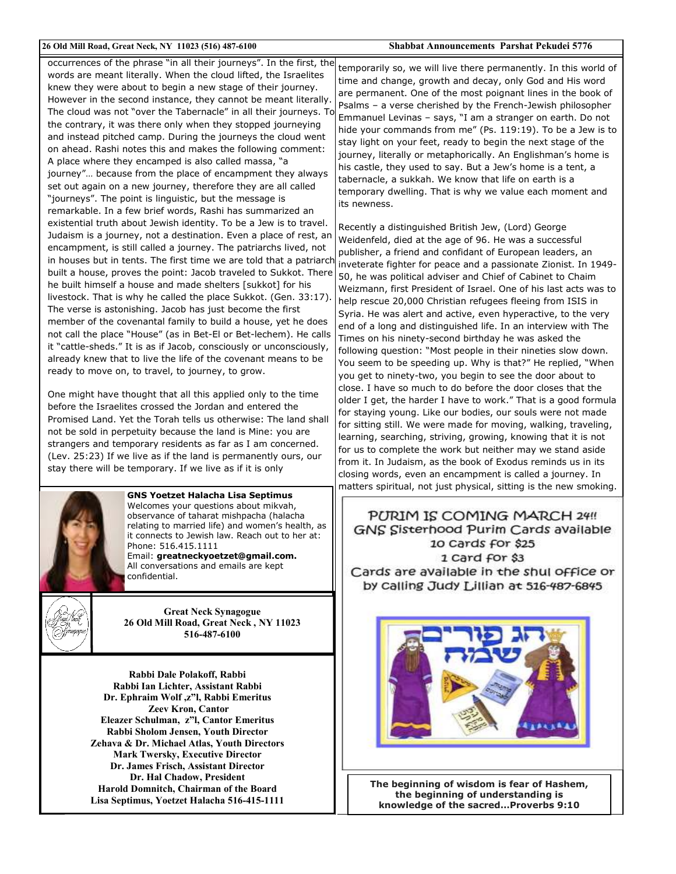#### 26 Old Mill Road, Great Neck, NY 11023 (516) 487-6100

#### Shabbat Announcements Parshat Pekudei 5776

occurrences of the phrase "in all their journeys". In the first, the words are meant literally. When the cloud lifted, the Israelites knew they were about to begin a new stage of their journey. However in the second instance, they cannot be meant literally. The cloud was not "over the Tabernacle" in all their journeys. To the contrary, it was there only when they stopped journeying and instead pitched camp. During the journeys the cloud went on ahead. Rashi notes this and makes the following comment: A place where they encamped is also called massa, "a journey"... because from the place of encampment they always set out again on a new journey, therefore they are all called "journeys". The point is linguistic, but the message is remarkable. In a few brief words, Rashi has summarized an existential truth about Jewish identity. To be a Jew is to travel. Judaism is a journey, not a destination. Even a place of rest, an encampment, is still called a journey. The patriarchs lived, not in houses but in tents. The first time we are told that a patriarch built a house, proves the point: Jacob traveled to Sukkot. There he built himself a house and made shelters [sukkot] for his livestock. That is why he called the place Sukkot. (Gen. 33:17). The verse is astonishing. Jacob has just become the first member of the covenantal family to build a house, yet he does not call the place "House" (as in Bet-El or Bet-lechem). He calls it "cattle-sheds." It is as if Jacob, consciously or unconsciously, already knew that to live the life of the covenant means to be ready to move on, to travel, to journey, to grow.

One might have thought that all this applied only to the time before the Israelites crossed the Jordan and entered the Promised Land. Yet the Torah tells us otherwise: The land shall not be sold in perpetuity because the land is Mine: you are strangers and temporary residents as far as I am concerned. (Lev. 25:23) If we live as if the land is permanently ours, our stay there will be temporary. If we live as if it is only



**GNS Yoetzet Halacha Lisa Septimus** Welcomes your questions about mikvah, observance of taharat mishpacha (halacha relating to married life) and women's health, as it connects to Jewish law. Reach out to her at: Phone: 516 415 1111 Email: greatneckyoetzet@gmail.com.

All conversations and emails are kept confidential.



**Great Neck Synagogue** 26 Old Mill Road, Great Neck, NY 11023 516-487-6100

Rabbi Dale Polakoff, Rabbi Rabbi Ian Lichter, Assistant Rabbi Dr. Ephraim Wolf, z"l, Rabbi Emeritus **Zeev Kron, Cantor** Eleazer Schulman, z"l. Cantor Emeritus Rabbi Sholom Jensen, Youth Director Zehava & Dr. Michael Atlas, Youth Directors **Mark Twersky, Executive Director** Dr. James Frisch, Assistant Director Dr. Hal Chadow, President Harold Domnitch, Chairman of the Board Lisa Septimus, Yoetzet Halacha 516-415-1111

temporarily so, we will live there permanently. In this world of time and change, growth and decay, only God and His word are permanent. One of the most poignant lines in the book of Psalms - a verse cherished by the French-Jewish philosopher Emmanuel Levinas - says, "I am a stranger on earth. Do not hide your commands from me" (Ps. 119:19). To be a Jew is to stay light on your feet, ready to begin the next stage of the journey, literally or metaphorically. An Englishman's home is his castle, they used to say. But a Jew's home is a tent, a tabernacle, a sukkah. We know that life on earth is a temporary dwelling. That is why we value each moment and its newness.

Recently a distinguished British Jew, (Lord) George Weidenfeld, died at the age of 96. He was a successful publisher, a friend and confidant of European leaders, an inveterate fighter for peace and a passionate Zionist. In 1949-50, he was political adviser and Chief of Cabinet to Chaim Weizmann, first President of Israel. One of his last acts was to help rescue 20,000 Christian refugees fleeing from ISIS in Syria. He was alert and active, even hyperactive, to the very end of a long and distinguished life. In an interview with The Times on his ninety-second birthday he was asked the following question: "Most people in their nineties slow down. You seem to be speeding up. Why is that?" He replied, "When you get to ninety-two, you begin to see the door about to close. I have so much to do before the door closes that the older I get, the harder I have to work." That is a good formula for staying young. Like our bodies, our souls were not made for sitting still. We were made for moving, walking, traveling, learning, searching, striving, growing, knowing that it is not for us to complete the work but neither may we stand aside from it. In Judaism, as the book of Exodus reminds us in its closing words, even an encampment is called a journey. In matters spiritual, not just physical, sitting is the new smoking.

#### PURIM IS COMING MARCH 24!! GNS Sisterhood Purim Cards available 10 Cards for \$25 1 Card for \$3 Cards are available in the shul office or by Calling Judy Lillian at 516-487-6845



The beginning of wisdom is fear of Hashem, the beginning of understanding is knowledge of the sacred... Proverbs 9:10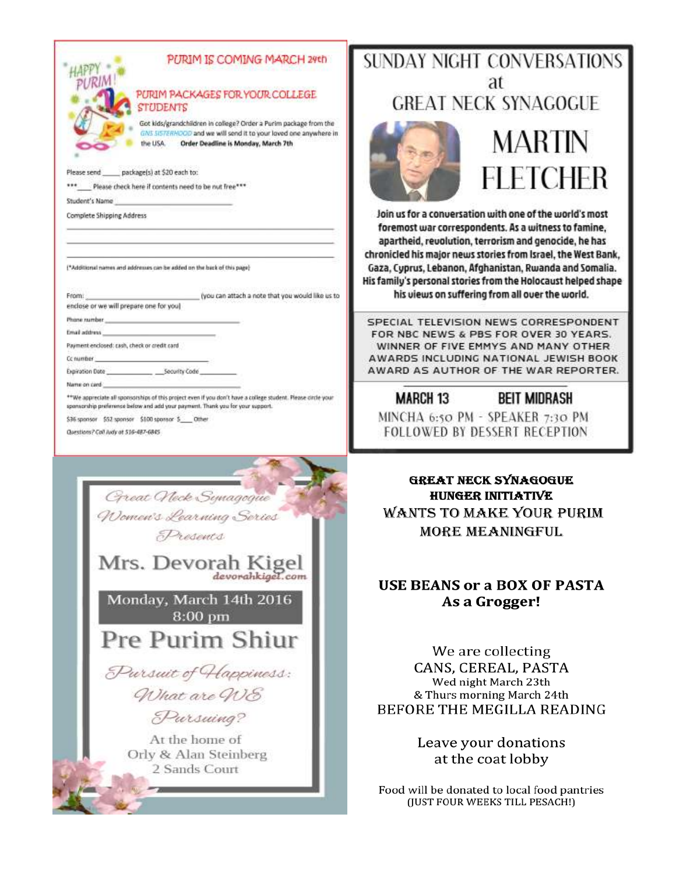

 $......$ Please check here if contents need to be nut free\*\*\*

Student's Name

**Complete Shipping Address** 

(\*Additional names and addresses can be added on the back of this page)

(you can attach a note that you would like us to From: enclose or we will prepare one for you)

Phone rainbar Email address

Payment enclosed: cash, check or credit card

Cc number

Expiration Date Security Code

Name on card

\*\*We appreciate all sponsorships of this project even if you don't have a college student. Please circle your sponsorship preference below and add your payment. Thank you for your support.

\$36 sponsor \$52 sponsor \$100 sponsor \$\_ Other

Questions? Call Judy at 516-487-6845



## **SUNDAY NIGHT CONVERSATIONS** at **GREAT NECK SYNAGOGUE**



## MARTIN FLETCHER

Join us for a conversation with one of the world's most foremost war correspondents. As a witness to famine. apartheid, revolution, terrorism and genocide, he has chronicled his major news stories from Israel, the West Bank, Gaza, Cyprus, Lebanon, Afghanistan, Rwanda and Somalia. His family's personal stories from the Holocaust helped shape his views on suffering from all over the world.

SPECIAL TELEVISION NEWS CORRESPONDENT FOR NBC NEWS & PBS FOR OVER 30 YEARS. WINNER OF FIVE EMMYS AND MANY OTHER AWARDS INCLUDING NATIONAL JEWISH BOOK AWARD AS AUTHOR OF THE WAR REPORTER.

**MARCH 13 BEIT MIDRASH** MINCHA 6:50 PM - SPEAKER 7:30 PM **FOLLOWED BY DESSERT RECEPTION** 

**GREAT NECK SYNAGOGUE HUNGER INITIATIVE WANTS TO MAKE YOUR PURIM** MORE MEANINGFUL

## **USE BEANS or a BOX OF PASTA** As a Grogger!

We are collecting CANS, CEREAL, PASTA Wed night March 23th & Thurs morning March 24th BEFORE THE MEGILLA READING

> Leave your donations at the coat lobby

Food will be donated to local food pantries (JUST FOUR WEEKS TILL PESACH!)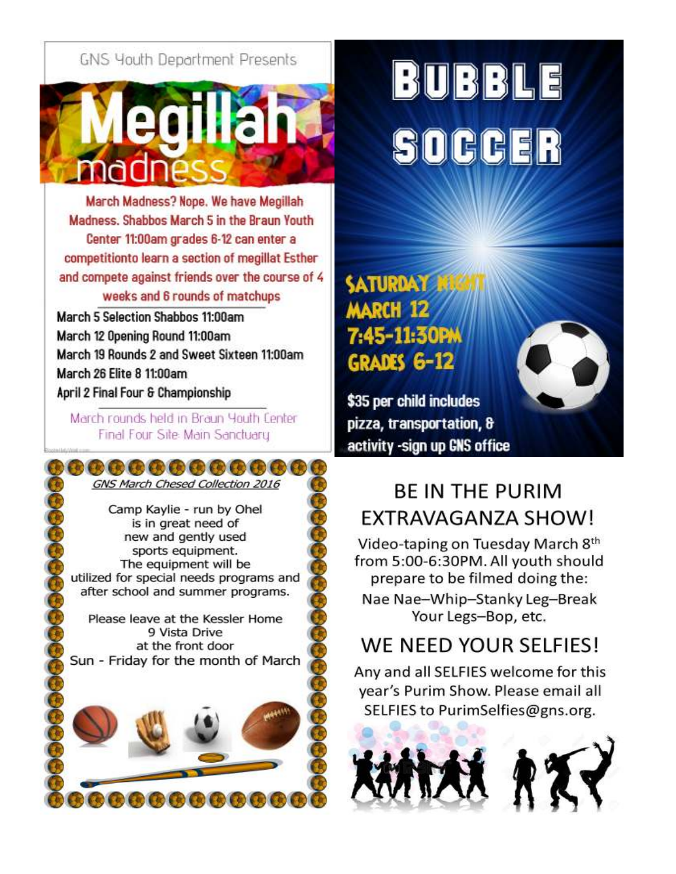## GNS Youth Department Presents



March Madness? Nope. We have Megillah Madness. Shabbos March 5 in the Braun Youth Center 11:00am grades 6-12 can enter a competitionto learn a section of megillat Esther and compete against friends over the course of 4 weeks and 6 rounds of matchups

March 5 Selection Shabbos 11:00am March 12 Opening Round 11:00am March 19 Rounds 2 and Sweet Sixteen 11:00am March 26 Elite 8 11:00am April 2 Final Four & Championship

March rounds held in Braun Youth Center Final Four Site: Main Sanctuary

#### ,,,,,,,,,,,,,, GNS March Chesed Collection 2016

Camp Kaylie - run by Ohel is in great need of new and gently used sports equipment. The equipment will be utilized for special needs programs and after school and summer programs.

Please leave at the Kessler Home 9 Vista Drive at the front door Sun - Friday for the month of March



## BUBBLE SOCHE

## **SATURDAY MARCH 12** 7:45-11:30PM **GRADES 6-12**

\$35 per child includes pizza, transportation, & activity -sign up GNS office

## **BE IN THE PURIM** EXTRAVAGANZA SHOW!

Video-taping on Tuesday March 8th from 5:00-6:30PM. All youth should prepare to be filmed doing the:

Nae Nae-Whip-Stanky Leg-Break Your Legs-Bop, etc.

## WE NEED YOUR SELFIES!

Any and all SELFIES welcome for this year's Purim Show. Please email all SELFIES to PurimSelfies@gns.org.

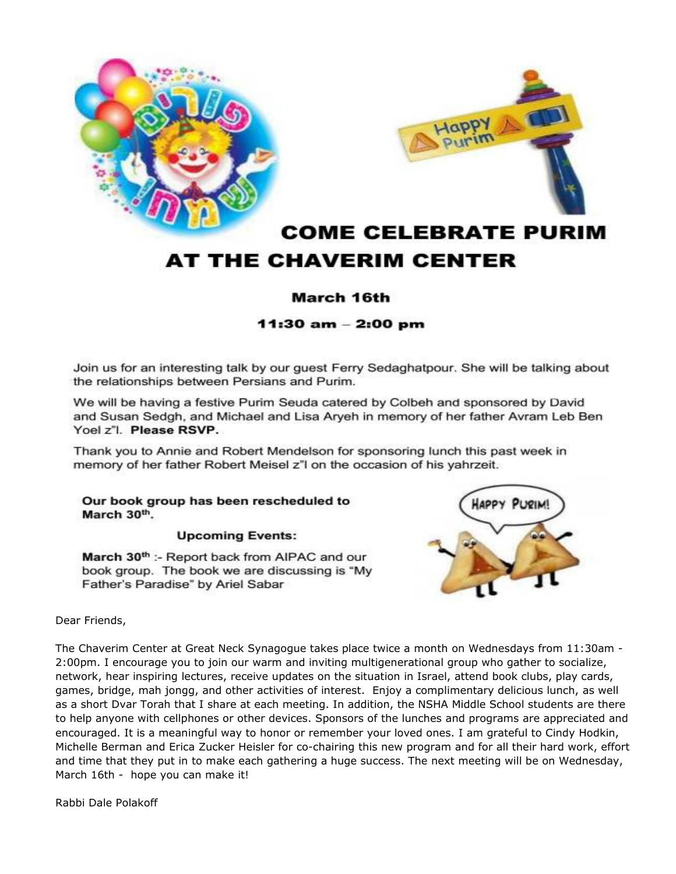



## **COME CELEBRATE PURIM** AT THE CHAVERIM CENTER

### March 16th

#### 11:30 am - 2:00 pm

Join us for an interesting talk by our guest Ferry Sedaghatpour. She will be talking about the relationships between Persians and Purim.

We will be having a festive Purim Seuda catered by Colbeh and sponsored by David and Susan Sedgh, and Michael and Lisa Aryeh in memory of her father Avram Leb Ben Yoel z"I. Please RSVP.

Thank you to Annie and Robert Mendelson for sponsoring lunch this past week in memory of her father Robert Meisel z"I on the occasion of his yahrzeit.

Our book group has been rescheduled to March 30th.

#### **Upcoming Events:**

March 30<sup>th</sup> :- Report back from AIPAC and our book group. The book we are discussing is "My Father's Paradise" by Ariel Sabar



Dear Friends,

The Chaverim Center at Great Neck Synagogue takes place twice a month on Wednesdays from 11:30am -2:00pm. I encourage you to join our warm and inviting multigenerational group who gather to socialize, network, hear inspiring lectures, receive updates on the situation in Israel, attend book clubs, play cards, games, bridge, mah jongg, and other activities of interest. Enjoy a complimentary delicious lunch, as well as a short Dvar Torah that I share at each meeting. In addition, the NSHA Middle School students are there to help anyone with cellphones or other devices. Sponsors of the lunches and programs are appreciated and encouraged. It is a meaningful way to honor or remember your loved ones. I am grateful to Cindy Hodkin, Michelle Berman and Erica Zucker Heisler for co-chairing this new program and for all their hard work, effort and time that they put in to make each gathering a huge success. The next meeting will be on Wednesday, March 16th - hope you can make it!

Rabbi Dale Polakoff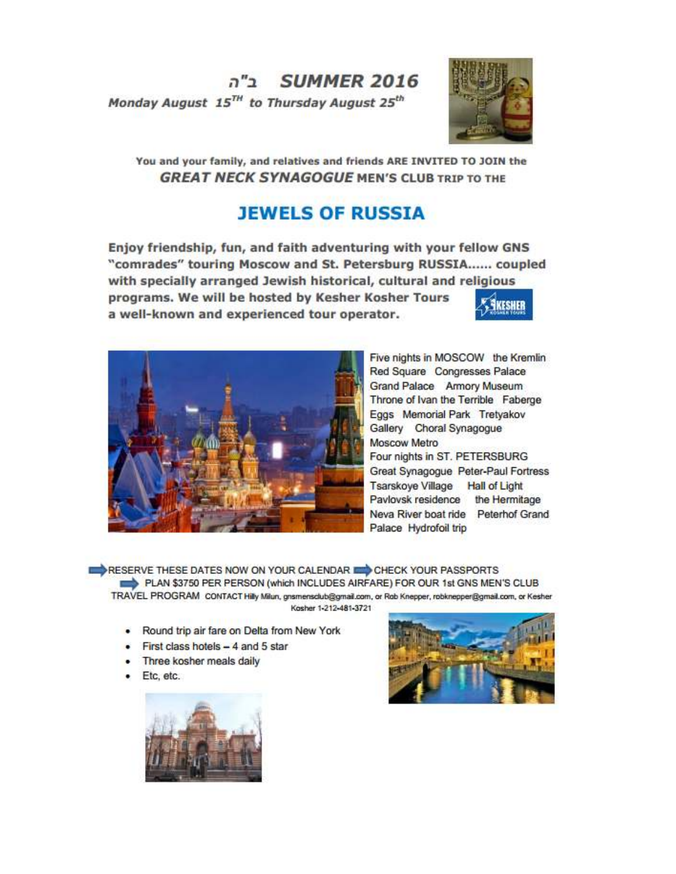SUMMER 2016 Monday August 15<sup>TH</sup> to Thursday August 25<sup>th</sup>



You and your family, and relatives and friends ARE INVITED TO JOIN the **GREAT NECK SYNAGOGUE MEN'S CLUB TRIP TO THE** 

## **JEWELS OF RUSSIA**

Enjoy friendship, fun, and faith adventuring with your fellow GNS "comrades" touring Moscow and St. Petersburg RUSSIA...... coupled with specially arranged Jewish historical, cultural and religious programs. We will be hosted by Kesher Kosher Tours a well-known and experienced tour operator.



Five nights in MOSCOW the Kremlin Red Square Congresses Palace Grand Palace Armory Museum Throne of Ivan the Terrible Faberge Eggs Memorial Park Tretyakov Gallery Choral Synagogue Moscow Metro Four nights in ST. PETERSBURG Great Synagogue Peter-Paul Fortress Tsarskoye Village Hall of Light Pavlovsk residence the Hermitage Neva River boat ride Peterhof Grand Palace Hydrofoil trip

RESERVE THESE DATES NOW ON YOUR CALENDAR **EXAMPLE CHECK YOUR PASSPORTS** PLAN \$3750 PER PERSON (which INCLUDES AIRFARE) FOR OUR 1st GNS MEN'S CLUB TRAVEL PROGRAM CONTACT Hilly Milun, gnsmensdub@gmail.com, or Rob Knepper, robknepper@gmail.com, or Kesher Kosher 1-212-481-3721

- . Round trip air fare on Delta from New York
- $\bullet$  First class hotels  $-4$  and 5 star
- Three kosher meals daily
- Etc. etc.



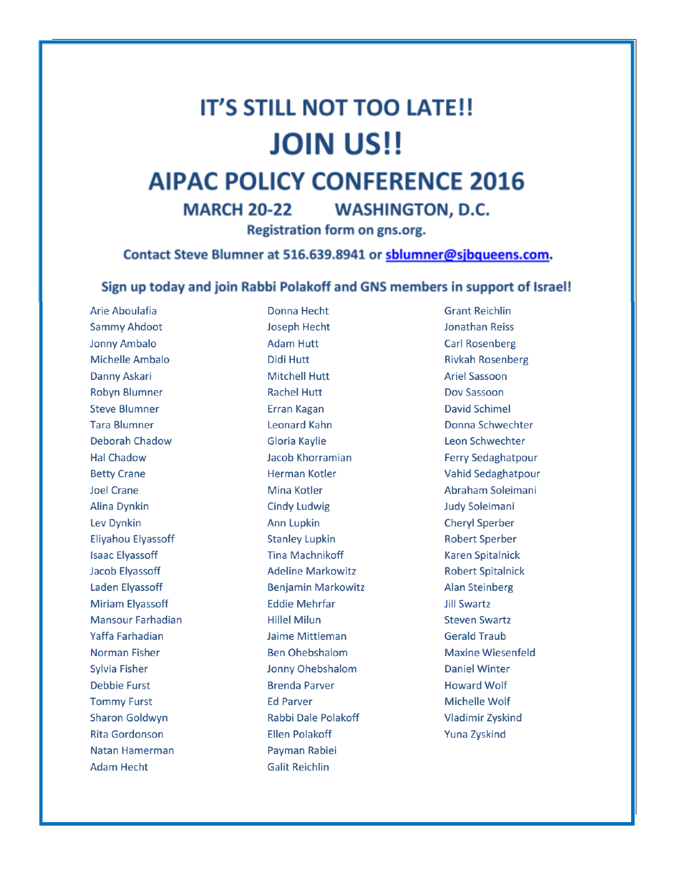## **IT'S STILL NOT TOO LATE!! JOIN US!!**

## **AIPAC POLICY CONFERENCE 2016**

**WASHINGTON, D.C. MARCH 20-22** 

Registration form on gns.org.

Contact Steve Blumner at 516.639.8941 or sblumner@sjbqueens.com.

#### Sign up today and join Rabbi Polakoff and GNS members in support of Israel!

Arie Aboulafia **Sammy Ahdoot Jonny Ambalo** Michelle Ambalo Danny Askari **Robyn Blumner Steve Blumner Tara Blumner** Deborah Chadow **Hal Chadow Betty Crane Joel Crane Alina Dynkin** Lev Dynkin **Eliyahou Elyassoff Isaac Elyassoff Jacob Elyassoff Laden Elyassoff Miriam Elvassoff Mansour Farhadian** Yaffa Farhadian Norman Fisher **Sylvia Fisher Debbie Furst Tommy Furst Sharon Goldwyn Rita Gordonson** Natan Hamerman **Adam Hecht** 

Donna Hecht **Joseph Hecht Adam Hutt Didi Hutt Mitchell Hutt Rachel Hutt Erran Kagan Leonard Kahn Gloria Kaylie** Jacob Khorramian Herman Kotler Mina Kotler **Cindy Ludwig Ann Lupkin Stanley Lupkin Tina Machnikoff Adeline Markowitz Benjamin Markowitz Eddie Mehrfar Hillel Milun** Jaime Mittleman **Ben Ohebshalom** Jonny Ohebshalom **Brenda Parver Ed Parver Rabbi Dale Polakoff Ellen Polakoff** Payman Rabiei **Galit Reichlin** 

**Grant Reichlin Jonathan Reiss Carl Rosenberg Rivkah Rosenberg Ariel Sassoon** Dov Sassoon **David Schimel** Donna Schwechter Leon Schwechter **Ferry Sedaghatpour** Vahid Sedaghatpour Abraham Soleimani Judy Soleimani **Cheryl Sperber Robert Sperber Karen Spitalnick Robert Spitalnick Alan Steinberg Jill Swartz Steven Swartz Gerald Traub Maxine Wiesenfeld Daniel Winter Howard Wolf** Michelle Wolf **Vladimir Zyskind Yuna Zyskind**